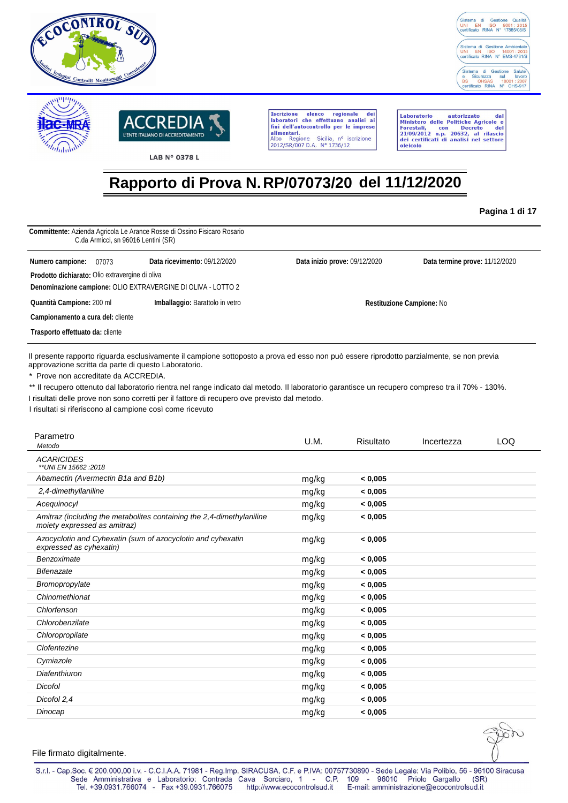





LAB N° 0378 L

**Tecrizione** elenco regionale dei Iscrizione elenco regionale dei<br>laboratori che effettuano analisi ai<br>fini dell'autocontrollo per le imprese alimentari.<br>Albo Regione Sicilia, nº is<br>2012/SR/007 D.A. Nº 1736/12 Sicilia, nº iscrizione

Laboratorio autorizzato dal<br>Ministero delle Politiche Agricole e<br>Forestali, con Decreto del<br>21/09/2012 n.p. 20632, al rilascio<br>dei certificati di analisi nel settore oleicolo

# **Rapporto di Prova N. RP/07073/20 del 11/12/2020**

**Pagina 1 di 17**

| C.da Armicci, sn 96016 Lentini (SR)             | Committente: Azienda Agricola Le Arance Rosse di Ossino Fisicaro Rosario |                               |                                |
|-------------------------------------------------|--------------------------------------------------------------------------|-------------------------------|--------------------------------|
| Numero campione:<br>07073                       | Data ricevimento: 09/12/2020                                             | Data inizio prove: 09/12/2020 | Data termine prove: 11/12/2020 |
| Prodotto dichiarato: Olio extravergine di oliva |                                                                          |                               |                                |
|                                                 | Denominazione campione: OLIO EXTRAVERGINE DI OLIVA - LOTTO 2             |                               |                                |
| Quantità Campione: 200 ml                       | Imballaggio: Barattolo in vetro                                          |                               | Restituzione Campione: No      |
| Campionamento a cura del: cliente               |                                                                          |                               |                                |
| Trasporto effettuato da: cliente                |                                                                          |                               |                                |

Il presente rapporto riguarda esclusivamente il campione sottoposto a prova ed esso non può essere riprodotto parzialmente, se non previa approvazione scritta da parte di questo Laboratorio.

\* Prove non accreditate da ACCREDIA.

\*\* Ilrecupero ottenuto dal laboratorio rientra nel range indicato dal metodo. Il laboratorio garantisce un recupero compreso tra il 70% - 130%.

I risultati delle prove non sono corretti per il fattore di recupero ove previsto dal metodo.

I risultati si riferiscono al campione così come ricevuto

| U.M.  | Risultato | Incertezza | <b>LOQ</b> |
|-------|-----------|------------|------------|
|       |           |            |            |
| mg/kg | < 0.005   |            |            |
| mg/kg | < 0,005   |            |            |
| mg/kg | < 0,005   |            |            |
| mg/kg | < 0.005   |            |            |
| mg/kg | < 0.005   |            |            |
| mg/kg | < 0,005   |            |            |
| mg/kg | < 0,005   |            |            |
| mg/kg | < 0,005   |            |            |
| mg/kg | < 0,005   |            |            |
| mg/kg | < 0,005   |            |            |
| mg/kg | < 0,005   |            |            |
| mg/kg | < 0,005   |            |            |
| mg/kg | < 0,005   |            |            |
| mg/kg | < 0,005   |            |            |
| mg/kg | < 0,005   |            |            |
| mg/kg | < 0,005   |            |            |
| mg/kg | < 0,005   |            |            |
| mg/kg | < 0,005   |            |            |
|       |           |            |            |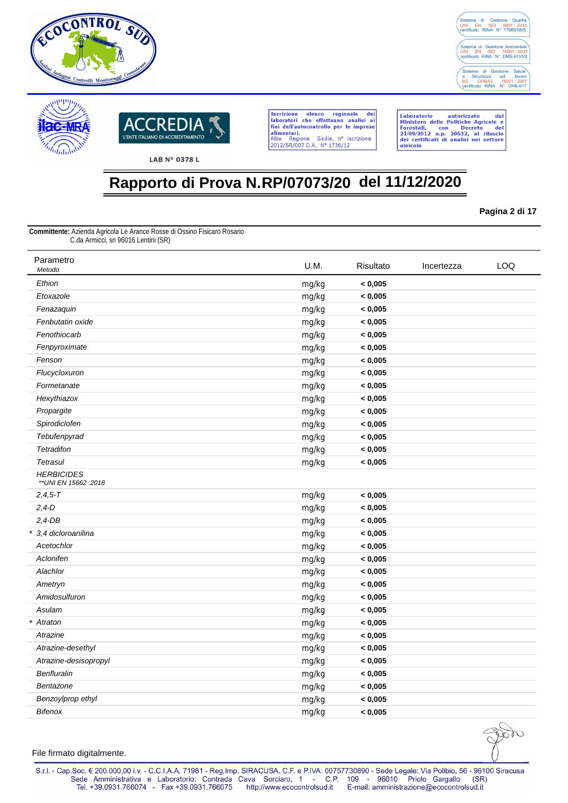





Laboratorio autorizzato dal<br>Ministero delle Politiche Agricole e<br>Forestali, con Decreto del<br>21/09/2012 n.p. 20632, al rilascio<br>dei certificati di analisi nel settore oleicolo

## **Rapporto di Prova N.RP/07073/20 del 11/12/2020**

**Pagina 2 di 17**

**Committente:** Azienda Agricola Le Arance Rosse di Ossino Fisicaro Rosario C.da Armicci, sn 96016 Lentini (SR)

| Parametro<br>Metodo                         | U.M.  | Risultato | Incertezza | LOQ |
|---------------------------------------------|-------|-----------|------------|-----|
| Ethion                                      | mg/kg | < 0,005   |            |     |
| Etoxazole                                   | mg/kg | < 0,005   |            |     |
| Fenazaquin                                  | mg/kg | < 0,005   |            |     |
| Fenbutatin oxide                            | mg/kg | < 0,005   |            |     |
| Fenothiocarb                                | mg/kg | < 0,005   |            |     |
| Fenpyroximate                               | mg/kg | < 0,005   |            |     |
| Fenson                                      | mg/kg | < 0,005   |            |     |
| Flucycloxuron                               | mg/kg | < 0,005   |            |     |
| Formetanate                                 | mg/kg | < 0,005   |            |     |
| Hexythiazox                                 | mg/kg | < 0,005   |            |     |
| Propargite                                  | mg/kg | < 0,005   |            |     |
| Spirodiclofen                               | mg/kg | < 0,005   |            |     |
| Tebufenpyrad                                | mg/kg | < 0,005   |            |     |
| <b>Tetradifon</b>                           | mg/kg | < 0,005   |            |     |
| <b>Tetrasul</b>                             | mg/kg | < 0,005   |            |     |
| <b>HERBICIDES</b><br>** UNI EN 15662 : 2018 |       |           |            |     |
| $2,4,5 - T$                                 | mg/kg | < 0,005   |            |     |
| $2,4-D$                                     | mg/kg | < 0,005   |            |     |
| $2,4$ -DB                                   | mg/kg | < 0,005   |            |     |
| * 3.4 dicloroanilina                        | mg/kg | < 0,005   |            |     |
| Acetochlor                                  | mg/kg | < 0,005   |            |     |
| Aclonifen                                   | mg/kg | < 0,005   |            |     |
| Alachlor                                    | mg/kg | < 0,005   |            |     |
| Ametryn                                     | mg/kg | < 0,005   |            |     |
| Amidosulfuron                               | mg/kg | < 0,005   |            |     |
| Asulam                                      | mg/kg | < 0,005   |            |     |
| * Atraton                                   | mg/kg | < 0,005   |            |     |
| Atrazine                                    | mg/kg | < 0,005   |            |     |
| Atrazine-desethyl                           | mg/kg | < 0,005   |            |     |
| Atrazine-desisopropyl                       | mg/kg | < 0,005   |            |     |
| Benfluralin                                 | mg/kg | < 0,005   |            |     |
| Bentazone                                   | mg/kg | < 0,005   |            |     |
| Benzoylprop ethyl                           | mg/kg | < 0,005   |            |     |
| <b>Bifenox</b>                              | mg/kg | < 0,005   |            |     |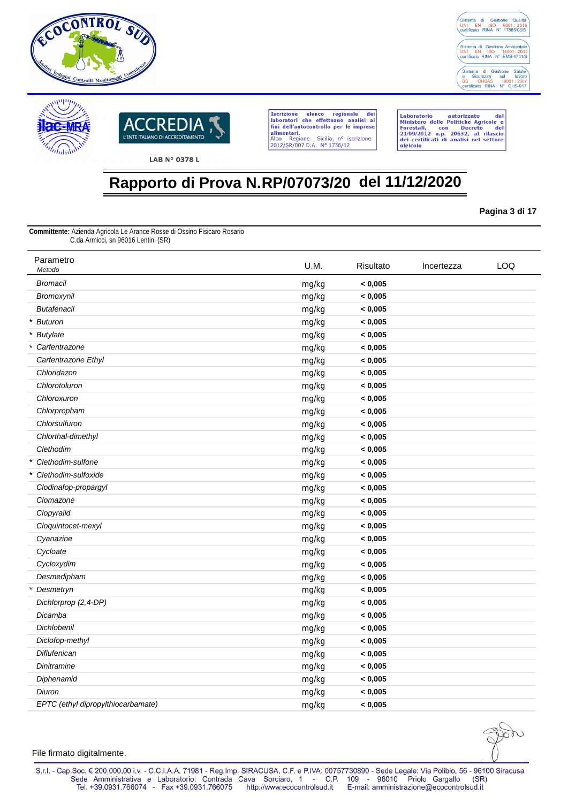





Laboratorio autorizzato dal<br>Ministero delle Politiche Agricole e<br>Forestali, con Decreto del<br>21/09/2012 n.p. 20632, al rilascio<br>dei certificati di analisi nel settore oleicolo

## **Rapporto di Prova N.RP/07073/20 del 11/12/2020**

**Pagina 3 di 17**

**Committente:** Azienda Agricola Le Arance Rosse di Ossino Fisicaro Rosario C.da Armicci, sn 96016 Lentini (SR)

| Parametro<br>Metodo                | U.M.  | Risultato | Incertezza | LOQ |
|------------------------------------|-------|-----------|------------|-----|
| <b>Bromacil</b>                    | mg/kg | < 0,005   |            |     |
| Bromoxynil                         | mg/kg | < 0,005   |            |     |
| <b>Butafenacil</b>                 | mg/kg | < 0,005   |            |     |
| * Buturon                          | mg/kg | < 0,005   |            |     |
| * Butylate                         | mg/kg | < 0,005   |            |     |
| * Carfentrazone                    | mg/kg | < 0,005   |            |     |
| Carfentrazone Ethyl                | mg/kg | < 0,005   |            |     |
| Chloridazon                        | mg/kg | < 0,005   |            |     |
| Chlorotoluron                      | mg/kg | < 0,005   |            |     |
| Chloroxuron                        | mg/kg | < 0,005   |            |     |
| Chlorpropham                       | mg/kg | < 0,005   |            |     |
| Chlorsulfuron                      | mg/kg | < 0,005   |            |     |
| Chlorthal-dimethyl                 | mg/kg | < 0,005   |            |     |
| Clethodim                          | mg/kg | < 0,005   |            |     |
| Clethodim-sulfone<br>$\star$       | mg/kg | < 0,005   |            |     |
| $\star$<br>Clethodim-sulfoxide     | mg/kg | < 0,005   |            |     |
| Clodinafop-propargyl               | mg/kg | < 0,005   |            |     |
| Clomazone                          | mg/kg | < 0,005   |            |     |
| Clopyralid                         | mg/kg | < 0,005   |            |     |
| Cloquintocet-mexyl                 | mg/kg | < 0,005   |            |     |
| Cyanazine                          | mg/kg | < 0,005   |            |     |
| Cycloate                           | mg/kg | < 0,005   |            |     |
| Cycloxydim                         | mg/kg | < 0,005   |            |     |
| Desmedipham                        | mg/kg | < 0,005   |            |     |
| * Desmetryn                        | mg/kg | < 0,005   |            |     |
| Dichlorprop (2,4-DP)               | mg/kg | < 0,005   |            |     |
| Dicamba                            | mg/kg | < 0,005   |            |     |
| <b>Dichlobenil</b>                 | mg/kg | < 0,005   |            |     |
| Diclofop-methyl                    | mg/kg | < 0,005   |            |     |
| <b>Diflufenican</b>                | mg/kg | < 0,005   |            |     |
| <b>Dinitramine</b>                 | mg/kg | < 0,005   |            |     |
| Diphenamid                         | mg/kg | < 0,005   |            |     |
| Diuron                             | mg/kg | < 0,005   |            |     |
| EPTC (ethyl dipropylthiocarbamate) | mg/kg | < 0,005   |            |     |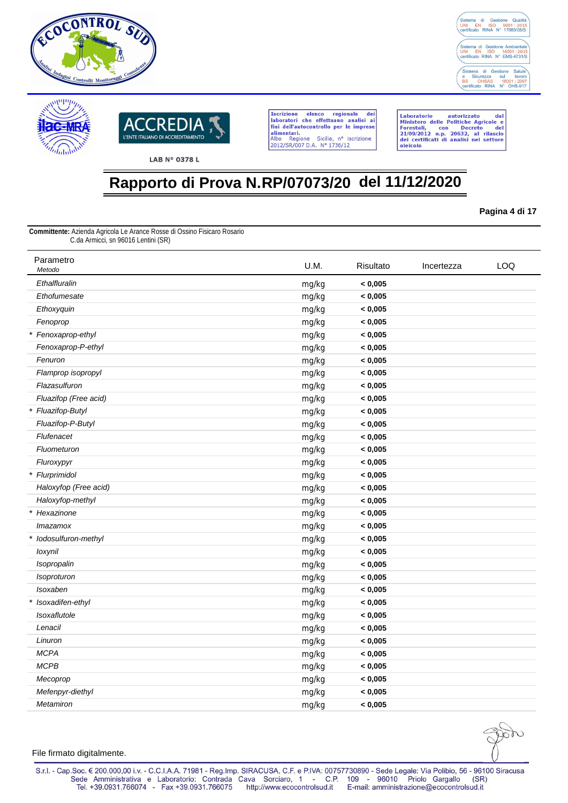





Laboratorio autorizzato dal<br>Ministero delle Politiche Agricole e<br>Forestali, con Decreto del<br>21/09/2012 n.p. 20632, al rilascio<br>dei certificati di analisi nel settore oleicolo

## **Rapporto di Prova N.RP/07073/20 del 11/12/2020**

**Pagina 4 di 17**

**Committente:** Azienda Agricola Le Arance Rosse di Ossino Fisicaro Rosario C.da Armicci, sn 96016 Lentini (SR)

| Parametro<br>Metodo   | U.M.  | Risultato | Incertezza | LOQ |
|-----------------------|-------|-----------|------------|-----|
| Ethalfluralin         | mg/kg | < 0,005   |            |     |
| Ethofumesate          | mg/kg | < 0,005   |            |     |
| Ethoxyquin            | mg/kg | < 0,005   |            |     |
| Fenoprop              | mg/kg | < 0,005   |            |     |
| * Fenoxaprop-ethyl    | mg/kg | < 0,005   |            |     |
| Fenoxaprop-P-ethyl    | mg/kg | < 0,005   |            |     |
| Fenuron               | mg/kg | < 0,005   |            |     |
| Flamprop isopropyl    | mg/kg | < 0,005   |            |     |
| Flazasulfuron         | mg/kg | < 0,005   |            |     |
| Fluazifop (Free acid) | mg/kg | < 0,005   |            |     |
| * Fluazifop-Butyl     | mg/kg | < 0,005   |            |     |
| Fluazifop-P-Butyl     | mg/kg | < 0,005   |            |     |
| Flufenacet            | mg/kg | < 0,005   |            |     |
| Fluometuron           | mg/kg | < 0,005   |            |     |
| Fluroxypyr            | mg/kg | < 0,005   |            |     |
| * Flurprimidol        | mg/kg | < 0,005   |            |     |
| Haloxyfop (Free acid) | mg/kg | < 0,005   |            |     |
| Haloxyfop-methyl      | mg/kg | < 0,005   |            |     |
| * Hexazinone          | mg/kg | < 0,005   |            |     |
| <i>Imazamox</i>       | mg/kg | < 0,005   |            |     |
| * lodosulfuron-methyl | mg/kg | < 0,005   |            |     |
| loxynil               | mg/kg | < 0,005   |            |     |
| Isopropalin           | mg/kg | < 0,005   |            |     |
| Isoproturon           | mg/kg | < 0,005   |            |     |
| <b>Isoxaben</b>       | mg/kg | < 0,005   |            |     |
| * Isoxadifen-ethyl    | mg/kg | < 0,005   |            |     |
| Isoxaflutole          | mg/kg | < 0,005   |            |     |
| Lenacil               | mg/kg | < 0,005   |            |     |
| Linuron               | mg/kg | < 0,005   |            |     |
| <b>MCPA</b>           | mg/kg | < 0,005   |            |     |
| <b>MCPB</b>           | mg/kg | < 0,005   |            |     |
| Mecoprop              | mg/kg | < 0,005   |            |     |
| Mefenpyr-diethyl      | mg/kg | < 0,005   |            |     |
| Metamiron             | mg/kg | < 0,005   |            |     |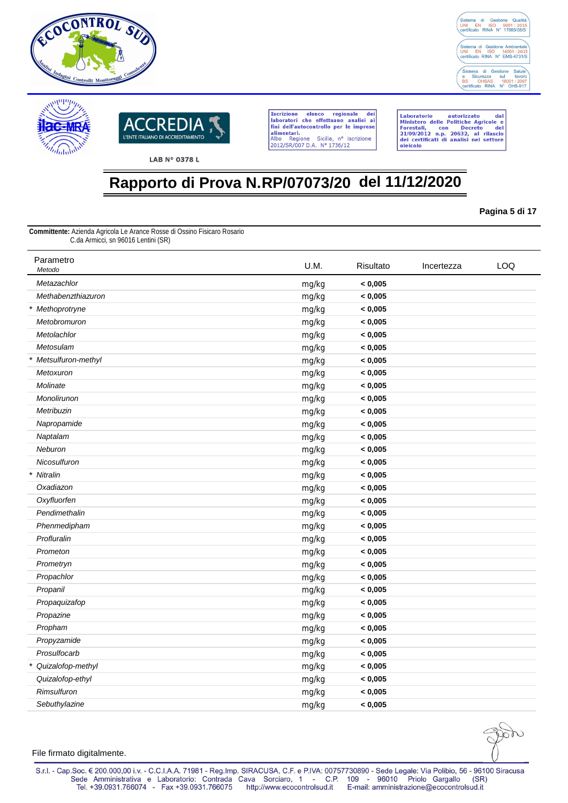





Laboratorio autorizzato dal<br>Ministero delle Politiche Agricole e<br>Forestali, con Decreto del<br>21/09/2012 n.p. 20632, al rilascio<br>dei certificati di analisi nel settore oleicolo

## **Rapporto di Prova N.RP/07073/20 del 11/12/2020**

**Pagina 5 di 17**

**Committente:** Azienda Agricola Le Arance Rosse di Ossino Fisicaro Rosario C.da Armicci, sn 96016 Lentini (SR)

| Parametro<br>Metodo  | U.M.  | Risultato | Incertezza | LOQ |
|----------------------|-------|-----------|------------|-----|
| Metazachlor          | mg/kg | < 0,005   |            |     |
| Methabenzthiazuron   | mg/kg | < 0,005   |            |     |
| * Methoprotryne      | mg/kg | < 0,005   |            |     |
| Metobromuron         | mg/kg | < 0,005   |            |     |
| Metolachlor          | mg/kg | < 0,005   |            |     |
| Metosulam            | mg/kg | < 0,005   |            |     |
| * Metsulfuron-methyl | mg/kg | < 0,005   |            |     |
| Metoxuron            | mg/kg | < 0,005   |            |     |
| Molinate             | mg/kg | < 0,005   |            |     |
| Monolirunon          | mg/kg | < 0,005   |            |     |
| Metribuzin           | mg/kg | < 0,005   |            |     |
| Napropamide          | mg/kg | < 0,005   |            |     |
| Naptalam             | mg/kg | < 0,005   |            |     |
| Neburon              | mg/kg | < 0,005   |            |     |
| Nicosulfuron         | mg/kg | < 0,005   |            |     |
| * Nitralin           | mg/kg | < 0,005   |            |     |
| Oxadiazon            | mg/kg | < 0,005   |            |     |
| Oxyfluorfen          | mg/kg | < 0,005   |            |     |
| Pendimethalin        | mg/kg | < 0,005   |            |     |
| Phenmedipham         | mg/kg | < 0,005   |            |     |
| Profluralin          | mg/kg | < 0,005   |            |     |
| Prometon             | mg/kg | < 0,005   |            |     |
| Prometryn            | mg/kg | < 0,005   |            |     |
| Propachlor           | mg/kg | < 0,005   |            |     |
| Propanil             | mg/kg | < 0,005   |            |     |
| Propaquizafop        | mg/kg | < 0,005   |            |     |
| Propazine            | mg/kg | < 0,005   |            |     |
| Propham              | mg/kg | < 0,005   |            |     |
| Propyzamide          | mg/kg | < 0,005   |            |     |
| Prosulfocarb         | mg/kg | < 0,005   |            |     |
| * Quizalofop-methyl  | mg/kg | < 0,005   |            |     |
| Quizalofop-ethyl     | mg/kg | < 0,005   |            |     |
| Rimsulfuron          | mg/kg | < 0,005   |            |     |
| Sebuthylazine        | mg/kg | < 0,005   |            |     |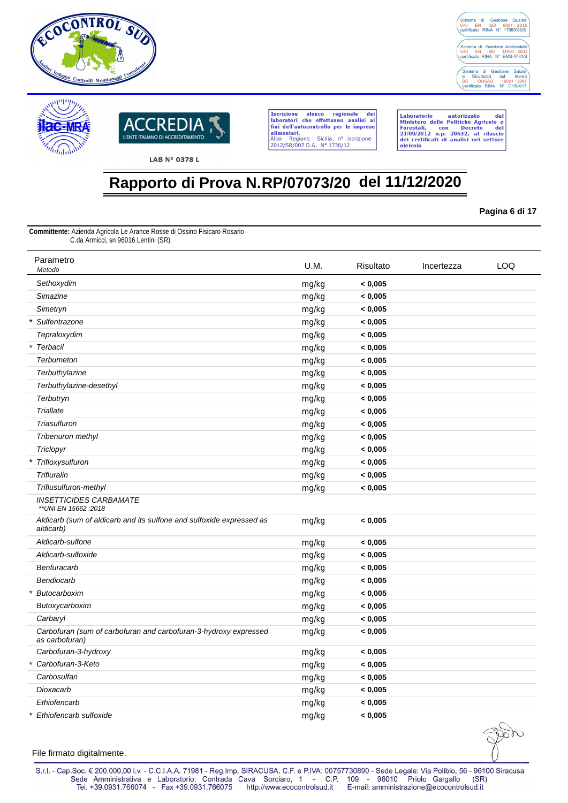





Laboratorio autorizzato dal<br>Ministero delle Politiche Agricole e<br>Forestali, con Decreto del<br>21/09/2012 n.p. 20632, al rilascio<br>dei certificati di analisi nel settore oleicolo

## **Rapporto di Prova N.RP/07073/20 del 11/12/2020**

**Pagina 6 di 17**

**Committente:** Azienda Agricola Le Arance Rosse di Ossino Fisicaro Rosario C.da Armicci, sn 96016 Lentini (SR)

| Parametro<br>Metodo                                                                | U.M.  | Risultato | Incertezza | <b>LOQ</b> |
|------------------------------------------------------------------------------------|-------|-----------|------------|------------|
| Sethoxydim                                                                         | mg/kg | < 0,005   |            |            |
| Simazine                                                                           | mg/kg | < 0,005   |            |            |
| Simetryn                                                                           | mg/kg | < 0,005   |            |            |
| Sulfentrazone                                                                      | mg/kg | < 0,005   |            |            |
| Tepraloxydim                                                                       | mg/kg | < 0,005   |            |            |
| * Terbacil                                                                         | mg/kg | < 0,005   |            |            |
| Terbumeton                                                                         | mg/kg | < 0,005   |            |            |
| Terbuthylazine                                                                     | mg/kg | < 0,005   |            |            |
| Terbuthylazine-desethyl                                                            | mg/kg | < 0,005   |            |            |
| Terbutryn                                                                          | mg/kg | < 0,005   |            |            |
| <b>Triallate</b>                                                                   | mg/kg | < 0,005   |            |            |
| Triasulfuron                                                                       | mg/kg | < 0,005   |            |            |
| Tribenuron methyl                                                                  | mg/kg | < 0,005   |            |            |
| Triclopyr                                                                          | mg/kg | < 0,005   |            |            |
| * Trifloxysulfuron                                                                 | mg/kg | < 0,005   |            |            |
| Trifluralin                                                                        | mg/kg | < 0,005   |            |            |
| Triflusulfuron-methyl                                                              | mg/kg | < 0,005   |            |            |
| <b>INSETTICIDES CARBAMATE</b><br>** UNI EN 15662 : 2018                            |       |           |            |            |
| Aldicarb (sum of aldicarb and its sulfone and sulfoxide expressed as<br>aldicarb)  | mg/kg | < 0,005   |            |            |
| Aldicarb-sulfone                                                                   | mg/kg | < 0,005   |            |            |
| Aldicarb-sulfoxide                                                                 | mg/kg | < 0,005   |            |            |
| Benfuracarb                                                                        | mg/kg | < 0,005   |            |            |
| Bendiocarb                                                                         | mg/kg | < 0,005   |            |            |
| Butocarboxim<br>$\star$                                                            | mg/kg | < 0,005   |            |            |
| Butoxycarboxim                                                                     | mg/kg | < 0,005   |            |            |
| Carbaryl                                                                           | mg/kg | < 0,005   |            |            |
| Carbofuran (sum of carbofuran and carbofuran-3-hydroxy expressed<br>as carbofuran) | mg/kg | < 0,005   |            |            |
| Carbofuran-3-hydroxy                                                               | mg/kg | < 0,005   |            |            |
| * Carbofuran-3-Keto                                                                | mg/kg | < 0,005   |            |            |
| Carbosulfan                                                                        | mg/kg | < 0,005   |            |            |
| Dioxacarb                                                                          | mg/kg | < 0,005   |            |            |
| Ethiofencarb                                                                       | mg/kg | < 0,005   |            |            |
| * Ethiofencarb sulfoxide                                                           | mg/kg | < 0,005   |            |            |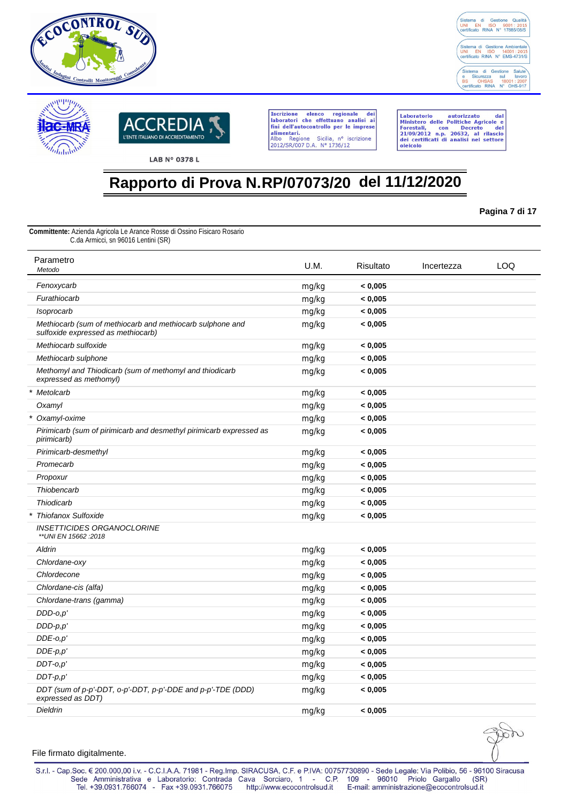





Laboratorio autorizzato dal<br>Ministero delle Politiche Agricole e<br>Forestali, con Decreto del<br>21/09/2012 n.p. 20632, al rilascio<br>dei certificati di analisi nel settore oleicolo

# **Rapporto di Prova N.RP/07073/20 del 11/12/2020**

**Pagina 7 di 17**

**Committente:** Azienda Agricola Le Arance Rosse di Ossino Fisicaro Rosario C.da Armicci, sn 96016 Lentini (SR)

| Parametro<br>Metodo                                                                             | U.M.  | Risultato | Incertezza | LOQ |
|-------------------------------------------------------------------------------------------------|-------|-----------|------------|-----|
| Fenoxycarb                                                                                      | mg/kg | < 0,005   |            |     |
| Furathiocarb                                                                                    | mg/kg | < 0,005   |            |     |
| Isoprocarb                                                                                      | mg/kg | < 0,005   |            |     |
| Methiocarb (sum of methiocarb and methiocarb sulphone and<br>sulfoxide expressed as methiocarb) | mg/kg | < 0,005   |            |     |
| Methiocarb sulfoxide                                                                            | mg/kg | < 0,005   |            |     |
| Methiocarb sulphone                                                                             | mg/kg | < 0,005   |            |     |
| Methomyl and Thiodicarb (sum of methomyl and thiodicarb<br>expressed as methomyl)               | mg/kg | < 0.005   |            |     |
| * Metolcarb                                                                                     | mg/kg | < 0,005   |            |     |
| Oxamyl                                                                                          | mg/kg | < 0,005   |            |     |
| * Oxamyl-oxime                                                                                  | mg/kg | < 0,005   |            |     |
| Pirimicarb (sum of pirimicarb and desmethyl pirimicarb expressed as<br>pirimicarb)              | mg/kg | < 0,005   |            |     |
| Pirimicarb-desmethyl                                                                            | mg/kg | < 0,005   |            |     |
| Promecarb                                                                                       | mg/kg | < 0,005   |            |     |
| Propoxur                                                                                        | mg/kg | < 0,005   |            |     |
| Thiobencarb                                                                                     | mg/kg | < 0,005   |            |     |
| Thiodicarb                                                                                      | mg/kg | < 0,005   |            |     |
| <b>Thiofanox Sulfoxide</b>                                                                      | mg/kg | < 0,005   |            |     |
| <b>INSETTICIDES ORGANOCLORINE</b><br>** UNI EN 15662 : 2018                                     |       |           |            |     |
| Aldrin                                                                                          | mg/kg | < 0,005   |            |     |
| Chlordane-oxy                                                                                   | mg/kg | < 0,005   |            |     |
| Chlordecone                                                                                     | mg/kg | < 0,005   |            |     |
| Chlordane-cis (alfa)                                                                            | mg/kg | < 0,005   |            |     |
| Chlordane-trans (gamma)                                                                         | mg/kg | < 0,005   |            |     |
| $DDD-o,p'$                                                                                      | mg/kg | < 0,005   |            |     |
| $DDD-p,p'$                                                                                      | mg/kg | < 0,005   |            |     |
| $DDE-o,p'$                                                                                      | mg/kg | < 0,005   |            |     |
| $DDE-p,p'$                                                                                      | mg/kg | < 0,005   |            |     |
| $DDT-0,p'$                                                                                      | mg/kg | < 0,005   |            |     |
| $DDT-p.p'$                                                                                      | mg/kg | < 0.005   |            |     |
| DDT (sum of p-p'-DDT, o-p'-DDT, p-p'-DDE and p-p'-TDE (DDD)<br>expressed as DDT)                | mg/kg | < 0.005   |            |     |
| Dieldrin                                                                                        | mg/kg | < 0.005   |            |     |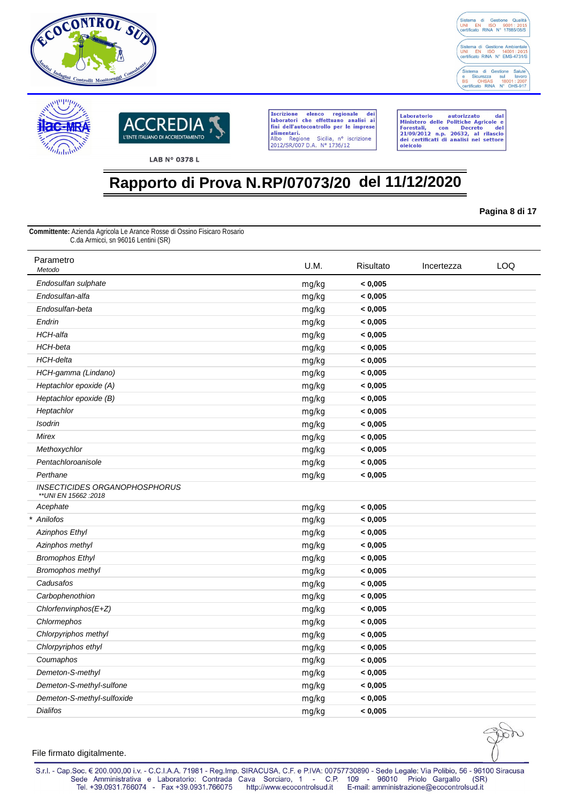





Laboratorio autorizzato dal<br>Ministero delle Politiche Agricole e<br>Forestali, con Decreto del<br>21/09/2012 n.p. 20632, al rilascio<br>dei certificati di analisi nel settore oleicolo

## **Rapporto di Prova N.RP/07073/20 del 11/12/2020**

**Pagina 8 di 17**

**Committente:** Azienda Agricola Le Arance Rosse di Ossino Fisicaro Rosario C.da Armicci, sn 96016 Lentini (SR)

| Parametro<br>Metodo                                     | U.M.  | Risultato | Incertezza | LOQ |
|---------------------------------------------------------|-------|-----------|------------|-----|
| Endosulfan sulphate                                     | mg/kg | < 0,005   |            |     |
| Endosulfan-alfa                                         | mg/kg | < 0,005   |            |     |
| Endosulfan-beta                                         | mg/kg | < 0,005   |            |     |
| Endrin                                                  | mg/kg | < 0,005   |            |     |
| <b>HCH-alfa</b>                                         | mg/kg | < 0,005   |            |     |
| HCH-beta                                                | mg/kg | < 0,005   |            |     |
| HCH-delta                                               | mg/kg | < 0,005   |            |     |
| HCH-gamma (Lindano)                                     | mg/kg | < 0,005   |            |     |
| Heptachlor epoxide (A)                                  | mg/kg | < 0,005   |            |     |
| Heptachlor epoxide (B)                                  | mg/kg | < 0,005   |            |     |
| Heptachlor                                              | mg/kg | < 0,005   |            |     |
| <b>Isodrin</b>                                          | mg/kg | < 0,005   |            |     |
| Mirex                                                   | mg/kg | < 0,005   |            |     |
| Methoxychlor                                            | mg/kg | < 0,005   |            |     |
| Pentachloroanisole                                      | mg/kg | < 0,005   |            |     |
| Perthane                                                | mg/kg | < 0,005   |            |     |
| INSECTICIDES ORGANOPHOSPHORUS<br>** UNI EN 15662 : 2018 |       |           |            |     |
| Acephate                                                | mg/kg | < 0,005   |            |     |
| * Anilofos                                              | mg/kg | < 0,005   |            |     |
| <b>Azinphos Ethyl</b>                                   | mg/kg | < 0,005   |            |     |
| Azinphos methyl                                         | mg/kg | < 0,005   |            |     |
| <b>Bromophos Ethyl</b>                                  | mg/kg | < 0,005   |            |     |
| Bromophos methyl                                        | mg/kg | < 0,005   |            |     |
| Cadusafos                                               | mg/kg | < 0,005   |            |     |
| Carbophenothion                                         | mg/kg | < 0,005   |            |     |
| Chlorfenvinphos(E+Z)                                    | mg/kg | < 0,005   |            |     |
| Chlormephos                                             | mg/kg | < 0,005   |            |     |
| Chlorpyriphos methyl                                    | mg/kg | < 0,005   |            |     |
| Chlorpyriphos ethyl                                     | mg/kg | < 0,005   |            |     |
| Coumaphos                                               | mg/kg | < 0,005   |            |     |
| Demeton-S-methyl                                        | mg/kg | < 0,005   |            |     |
| Demeton-S-methyl-sulfone                                | mg/kg | < 0,005   |            |     |
| Demeton-S-methyl-sulfoxide                              | mg/kg | < 0,005   |            |     |
| <b>Dialifos</b>                                         | mg/kg | < 0,005   |            |     |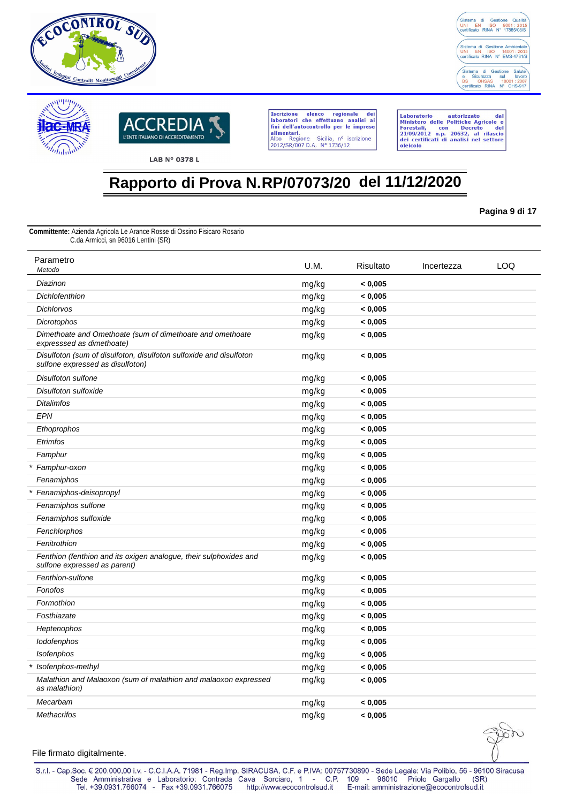





Laboratorio autorizzato dal<br>Ministero delle Politiche Agricole e<br>Forestali, con Decreto del<br>21/09/2012 n.p. 20632, al rilascio<br>dei certificati di analisi nel settore oleicolo

## **Rapporto di Prova N.RP/07073/20 del 11/12/2020**

**Pagina 9 di 17**

**Committente:** Azienda Agricola Le Arance Rosse di Ossino Fisicaro Rosario C.da Armicci, sn 96016 Lentini (SR)

| Parametro<br>Metodo                                                                                    | U.M.  | Risultato | Incertezza | LOQ |
|--------------------------------------------------------------------------------------------------------|-------|-----------|------------|-----|
| Diazinon                                                                                               | mg/kg | < 0,005   |            |     |
| <b>Dichlofenthion</b>                                                                                  | mg/kg | < 0,005   |            |     |
| <b>Dichlorvos</b>                                                                                      | mg/kg | < 0,005   |            |     |
| Dicrotophos                                                                                            | mg/kg | < 0,005   |            |     |
| Dimethoate and Omethoate (sum of dimethoate and omethoate<br>expresssed as dimethoate)                 | mg/kg | < 0.005   |            |     |
| Disulfoton (sum of disulfoton, disulfoton sulfoxide and disulfoton<br>sulfone expressed as disulfoton) | mg/kg | < 0,005   |            |     |
| Disulfoton sulfone                                                                                     | mg/kg | < 0,005   |            |     |
| Disulfoton sulfoxide                                                                                   | mg/kg | < 0,005   |            |     |
| <b>Ditalimfos</b>                                                                                      | mg/kg | < 0,005   |            |     |
| <b>EPN</b>                                                                                             | mg/kg | < 0,005   |            |     |
| Ethoprophos                                                                                            | mg/kg | < 0,005   |            |     |
| Etrimfos                                                                                               | mg/kg | < 0,005   |            |     |
| Famphur                                                                                                | mg/kg | < 0,005   |            |     |
| * Famphur-oxon                                                                                         | mg/kg | < 0,005   |            |     |
| Fenamiphos                                                                                             | mg/kg | < 0,005   |            |     |
| * Fenamiphos-deisopropyl                                                                               | mg/kg | < 0,005   |            |     |
| Fenamiphos sulfone                                                                                     | mg/kg | < 0.005   |            |     |
| Fenamiphos sulfoxide                                                                                   | mg/kg | < 0,005   |            |     |
| Fenchlorphos                                                                                           | mg/kg | < 0,005   |            |     |
| Fenitrothion                                                                                           | mg/kg | < 0,005   |            |     |
| Fenthion (fenthion and its oxigen analogue, their sulphoxides and<br>sulfone expressed as parent)      | mg/kg | < 0,005   |            |     |
| Fenthion-sulfone                                                                                       | mg/kg | < 0,005   |            |     |
| Fonofos                                                                                                | mg/kg | < 0,005   |            |     |
| Formothion                                                                                             | mg/kg | < 0,005   |            |     |
| Fosthiazate                                                                                            | mg/kg | < 0,005   |            |     |
| Heptenophos                                                                                            | mg/kg | < 0,005   |            |     |
| lodofenphos                                                                                            | mg/kg | < 0,005   |            |     |
| Isofenphos                                                                                             | mg/kg | < 0,005   |            |     |
| * Isofenphos-methyl                                                                                    | mg/kg | < 0,005   |            |     |
| Malathion and Malaoxon (sum of malathion and malaoxon expressed<br>as malathion)                       | mg/kg | < 0,005   |            |     |
| Mecarbam                                                                                               | mg/kg | < 0,005   |            |     |
| <b>Methacrifos</b>                                                                                     | mg/kg | < 0,005   |            |     |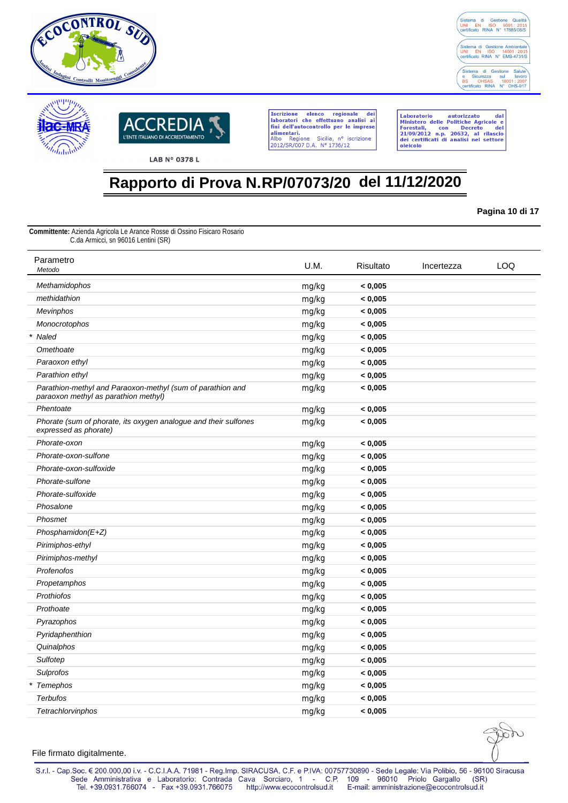





Laboratorio autorizzato dal<br>Ministero delle Politiche Agricole e<br>Forestali, con Decreto del<br>21/09/2012 n.p. 20632, al rilascio<br>dei certificati di analisi nel settore oleicolo

# **Rapporto di Prova N.RP/07073/20 del 11/12/2020**

**Pagina 10 di 17**

**Committente:** Azienda Agricola Le Arance Rosse di Ossino Fisicaro Rosario C.da Armicci, sn 96016 Lentini (SR)

| Parametro<br>Metodo                                                                                | U.M.  | Risultato | Incertezza | LOQ |
|----------------------------------------------------------------------------------------------------|-------|-----------|------------|-----|
| Methamidophos                                                                                      | mg/kg | < 0,005   |            |     |
| methidathion                                                                                       | mg/kg | < 0,005   |            |     |
| Mevinphos                                                                                          | mg/kg | < 0,005   |            |     |
| Monocrotophos                                                                                      | mg/kg | < 0,005   |            |     |
| * Naled                                                                                            | mg/kg | < 0,005   |            |     |
| Omethoate                                                                                          | mg/kg | < 0,005   |            |     |
| Paraoxon ethyl                                                                                     | mg/kg | < 0,005   |            |     |
| Parathion ethyl                                                                                    | mg/kg | < 0,005   |            |     |
| Parathion-methyl and Paraoxon-methyl (sum of parathion and<br>paraoxon methyl as parathion methyl) | mg/kg | < 0,005   |            |     |
| Phentoate                                                                                          | mg/kg | < 0,005   |            |     |
| Phorate (sum of phorate, its oxygen analogue and their sulfones<br>expressed as phorate)           | mg/kg | < 0,005   |            |     |
| Phorate-oxon                                                                                       | mg/kg | < 0,005   |            |     |
| Phorate-oxon-sulfone                                                                               | mg/kg | < 0,005   |            |     |
| Phorate-oxon-sulfoxide                                                                             | mg/kg | < 0,005   |            |     |
| Phorate-sulfone                                                                                    | mg/kg | < 0,005   |            |     |
| Phorate-sulfoxide                                                                                  | mg/kg | < 0,005   |            |     |
| Phosalone                                                                                          | mg/kg | < 0,005   |            |     |
| Phosmet                                                                                            | mg/kg | < 0,005   |            |     |
| Phosphamidon(E+Z)                                                                                  | mg/kg | < 0,005   |            |     |
| Pirimiphos-ethyl                                                                                   | mg/kg | < 0,005   |            |     |
| Pirimiphos-methyl                                                                                  | mg/kg | < 0,005   |            |     |
| Profenofos                                                                                         | mg/kg | < 0,005   |            |     |
| Propetamphos                                                                                       | mg/kg | < 0,005   |            |     |
| Prothiofos                                                                                         | mg/kg | < 0,005   |            |     |
| Prothoate                                                                                          | mg/kg | < 0,005   |            |     |
| Pyrazophos                                                                                         | mg/kg | < 0,005   |            |     |
| Pyridaphenthion                                                                                    | mg/kg | < 0,005   |            |     |
| Quinalphos                                                                                         | mg/kg | < 0,005   |            |     |
| Sulfotep                                                                                           | mg/kg | < 0,005   |            |     |
| Sulprofos                                                                                          | mg/kg | < 0,005   |            |     |
| * Temephos                                                                                         | mg/kg | < 0,005   |            |     |
| <b>Terbufos</b>                                                                                    | mg/kg | < 0,005   |            |     |
| <b>Tetrachlorvinphos</b>                                                                           | mg/kg | < 0.005   |            |     |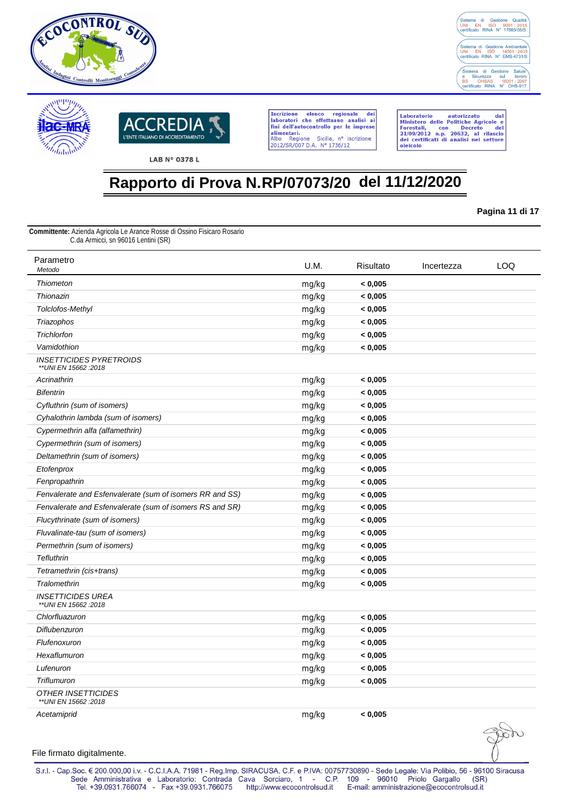





Laboratorio autorizzato dal<br>Ministero delle Politiche Agricole e<br>Forestali, con Decreto del<br>21/09/2012 n.p. 20632, al rilascio<br>dei certificati di analisi nel settore oleicolo

## **Rapporto di Prova N.RP/07073/20 del 11/12/2020**

**Pagina 11 di 17**

**Committente:** Azienda Agricola Le Arance Rosse di Ossino Fisicaro Rosario C.da Armicci, sn 96016 Lentini (SR)

| Parametro<br>Metodo                                      | U.M.  | Risultato | Incertezza | LOQ |
|----------------------------------------------------------|-------|-----------|------------|-----|
| <b>Thiometon</b>                                         | mg/kg | < 0.005   |            |     |
| Thionazin                                                | mg/kg | < 0,005   |            |     |
| Tolclofos-Methyl                                         | mg/kg | < 0,005   |            |     |
| Triazophos                                               | mg/kg | < 0,005   |            |     |
| Trichlorfon                                              | mg/kg | < 0,005   |            |     |
| Vamidothion                                              | mg/kg | < 0,005   |            |     |
| <b>INSETTICIDES PYRETROIDS</b><br>** UNI EN 15662 : 2018 |       |           |            |     |
| Acrinathrin                                              | mg/kg | < 0,005   |            |     |
| <b>Bifentrin</b>                                         | mg/kg | < 0,005   |            |     |
| Cyfluthrin (sum of isomers)                              | mg/kg | < 0,005   |            |     |
| Cyhalothrin lambda (sum of isomers)                      | mg/kg | < 0,005   |            |     |
| Cypermethrin alfa (alfamethrin)                          | mg/kg | < 0,005   |            |     |
| Cypermethrin (sum of isomers)                            | mg/kg | < 0,005   |            |     |
| Deltamethrin (sum of isomers)                            | mg/kg | < 0,005   |            |     |
| Etofenprox                                               | mg/kg | < 0,005   |            |     |
| Fenpropathrin                                            | mg/kg | < 0,005   |            |     |
| Fenvalerate and Esfenvalerate (sum of isomers RR and SS) | mg/kg | < 0,005   |            |     |
| Fenvalerate and Esfenvalerate (sum of isomers RS and SR) | mg/kg | < 0,005   |            |     |
| Flucythrinate (sum of isomers)                           | mg/kg | < 0,005   |            |     |
| Fluvalinate-tau (sum of isomers)                         | mg/kg | < 0,005   |            |     |
| Permethrin (sum of isomers)                              | mg/kg | < 0,005   |            |     |
| <b>Tefluthrin</b>                                        | mg/kg | < 0,005   |            |     |
| Tetramethrin (cis+trans)                                 | mg/kg | < 0,005   |            |     |
| Tralomethrin                                             | mg/kg | < 0,005   |            |     |
| <b>INSETTICIDES UREA</b><br>** UNI EN 15662 : 2018       |       |           |            |     |
| Chlorfluazuron                                           | mg/kg | < 0,005   |            |     |
| Diflubenzuron                                            | mg/kg | < 0,005   |            |     |
| Flufenoxuron                                             | mg/kg | < 0,005   |            |     |
| Hexaflumuron                                             | mg/kg | < 0,005   |            |     |
| Lufenuron                                                | mg/kg | < 0,005   |            |     |
| Triflumuron                                              | mg/kg | < 0,005   |            |     |
| <b>OTHER INSETTICIDES</b><br>** UNI EN 15662 : 2018      |       |           |            |     |
| Acetamiprid                                              | mg/kg | < 0.005   |            |     |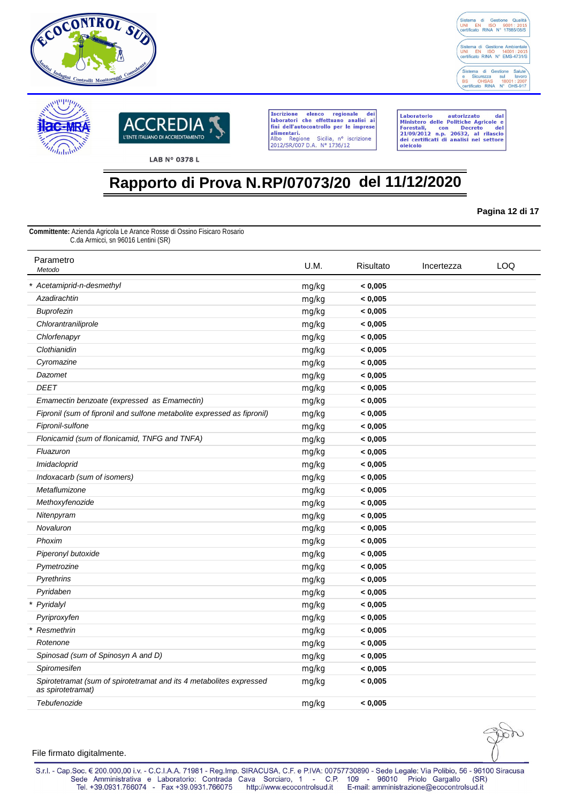





Laboratorio autorizzato dal<br>Ministero delle Politiche Agricole e<br>Forestali, con Decreto del<br>21/09/2012 n.p. 20632, al rilascio<br>dei certificati di analisi nel settore oleicolo

# **Rapporto di Prova N.RP/07073/20 del 11/12/2020**

**Pagina 12 di 17**

**Committente:** Azienda Agricola Le Arance Rosse di Ossino Fisicaro Rosario C.da Armicci, sn 96016 Lentini (SR)

| Parametro<br>Metodo                                                                      | U.M.  | Risultato | Incertezza | LOQ |
|------------------------------------------------------------------------------------------|-------|-----------|------------|-----|
| * Acetamiprid-n-desmethyl                                                                | mg/kg | < 0,005   |            |     |
| Azadirachtin                                                                             | mg/kg | < 0,005   |            |     |
| <b>Buprofezin</b>                                                                        | mg/kg | < 0,005   |            |     |
| Chlorantraniliprole                                                                      | mg/kg | < 0,005   |            |     |
| Chlorfenapyr                                                                             | mg/kg | < 0,005   |            |     |
| Clothianidin                                                                             | mg/kg | < 0,005   |            |     |
| Cyromazine                                                                               | mg/kg | < 0,005   |            |     |
| Dazomet                                                                                  | mg/kg | < 0,005   |            |     |
| <b>DEET</b>                                                                              | mg/kg | < 0,005   |            |     |
| Emamectin benzoate (expressed as Emamectin)                                              | mg/kg | < 0.005   |            |     |
| Fipronil (sum of fipronil and sulfone metabolite expressed as fipronil)                  | mg/kg | < 0,005   |            |     |
| Fipronil-sulfone                                                                         | mg/kg | < 0,005   |            |     |
| Flonicamid (sum of flonicamid, TNFG and TNFA)                                            | mg/kg | < 0,005   |            |     |
| Fluazuron                                                                                | mg/kg | < 0,005   |            |     |
| Imidacloprid                                                                             | mg/kg | < 0,005   |            |     |
| Indoxacarb (sum of isomers)                                                              | mg/kg | < 0,005   |            |     |
| Metaflumizone                                                                            | mg/kg | < 0,005   |            |     |
| Methoxyfenozide                                                                          | mg/kg | < 0,005   |            |     |
| Nitenpyram                                                                               | mg/kg | < 0,005   |            |     |
| Novaluron                                                                                | mg/kg | < 0,005   |            |     |
| Phoxim                                                                                   | mg/kg | < 0,005   |            |     |
| Piperonyl butoxide                                                                       | mg/kg | < 0,005   |            |     |
| Pymetrozine                                                                              | mg/kg | < 0,005   |            |     |
| Pyrethrins                                                                               | mg/kg | < 0,005   |            |     |
| Pyridaben                                                                                | mg/kg | < 0,005   |            |     |
| * Pyridalyl                                                                              | mg/kg | < 0,005   |            |     |
| Pyriproxyfen                                                                             | mg/kg | < 0,005   |            |     |
| * Resmethrin                                                                             | mg/kg | < 0,005   |            |     |
| Rotenone                                                                                 | mg/kg | < 0,005   |            |     |
| Spinosad (sum of Spinosyn A and D)                                                       | mg/kg | < 0,005   |            |     |
| Spiromesifen                                                                             | mg/kg | < 0,005   |            |     |
| Spirotetramat (sum of spirotetramat and its 4 metabolites expressed<br>as spirotetramat) | mg/kg | < 0,005   |            |     |
| Tebufenozide                                                                             | mg/kg | < 0,005   |            |     |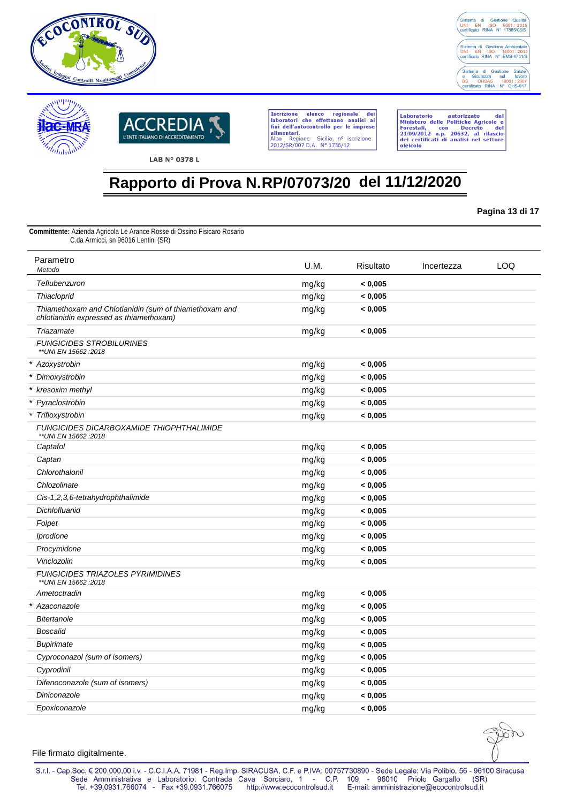





Laboratorio autorizzato dal<br>Ministero delle Politiche Agricole e<br>Forestali, con Decreto del<br>21/09/2012 n.p. 20632, al rilascio<br>dei certificati di analisi nel settore oleicolo

# **Rapporto di Prova N.RP/07073/20 del 11/12/2020**

**Pagina 13 di 17**

**Committente:** Azienda Agricola Le Arance Rosse di Ossino Fisicaro Rosario C.da Armicci, sn 96016 Lentini (SR)

| Parametro<br>Metodo                                                                               | U.M.  | Risultato | Incertezza | LOQ |
|---------------------------------------------------------------------------------------------------|-------|-----------|------------|-----|
| Teflubenzuron                                                                                     | mg/kg | < 0,005   |            |     |
| Thiacloprid                                                                                       | mg/kg | < 0,005   |            |     |
| Thiamethoxam and Chlotianidin (sum of thiamethoxam and<br>chlotianidin expressed as thiamethoxam) | mg/kg | < 0,005   |            |     |
| Triazamate                                                                                        | mg/kg | < 0,005   |            |     |
| <b>FUNGICIDES STROBILURINES</b><br>** UNI EN 15662 : 2018                                         |       |           |            |     |
| * Azoxystrobin                                                                                    | mg/kg | < 0,005   |            |     |
| * Dimoxystrobin                                                                                   | mg/kg | < 0,005   |            |     |
| * kresoxim methyl                                                                                 | mg/kg | < 0,005   |            |     |
| * Pyraclostrobin                                                                                  | mg/kg | < 0,005   |            |     |
| * Trifloxystrobin                                                                                 | mg/kg | < 0,005   |            |     |
| FUNGICIDES DICARBOXAMIDE THIOPHTHALIMIDE<br>** UNI EN 15662 : 2018                                |       |           |            |     |
| Captafol                                                                                          | mg/kg | < 0,005   |            |     |
| Captan                                                                                            | mg/kg | < 0,005   |            |     |
| Chlorothalonil                                                                                    | mg/kg | < 0,005   |            |     |
| Chlozolinate                                                                                      | mg/kg | < 0,005   |            |     |
| Cis-1,2,3,6-tetrahydrophthalimide                                                                 | mg/kg | < 0,005   |            |     |
| Dichlofluanid                                                                                     | mg/kg | < 0,005   |            |     |
| Folpet                                                                                            | mg/kg | < 0,005   |            |     |
| Iprodione                                                                                         | mg/kg | < 0,005   |            |     |
| Procymidone                                                                                       | mg/kg | < 0,005   |            |     |
| Vinclozolin                                                                                       | mg/kg | < 0,005   |            |     |
| <b>FUNGICIDES TRIAZOLES PYRIMIDINES</b><br>** UNI EN 15662 : 2018                                 |       |           |            |     |
| Ametoctradin                                                                                      | mg/kg | < 0,005   |            |     |
| * Azaconazole                                                                                     | mg/kg | < 0,005   |            |     |
| <b>Bitertanole</b>                                                                                | mg/kg | < 0,005   |            |     |
| <b>Boscalid</b>                                                                                   | mg/kg | < 0,005   |            |     |
| <b>Bupirimate</b>                                                                                 | mg/kg | < 0,005   |            |     |
| Cyproconazol (sum of isomers)                                                                     | mg/kg | < 0,005   |            |     |
| Cyprodinil                                                                                        | mg/kg | < 0,005   |            |     |
| Difenoconazole (sum of isomers)                                                                   | mg/kg | < 0,005   |            |     |
| Diniconazole                                                                                      | mg/kg | < 0,005   |            |     |
| Epoxiconazole                                                                                     | mg/kg | < 0,005   |            |     |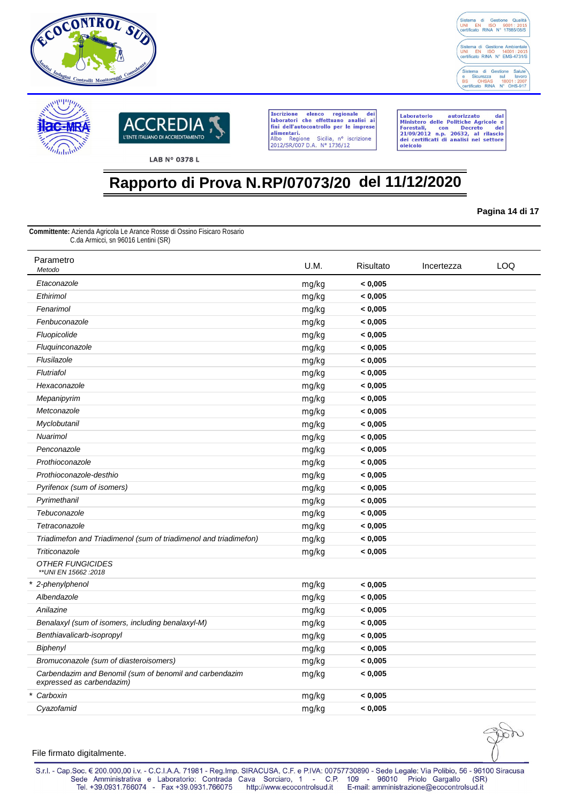





Laboratorio autorizzato dal<br>Ministero delle Politiche Agricole e<br>Forestali, con Decreto del<br>21/09/2012 n.p. 20632, al rilascio<br>dei certificati di analisi nel settore oleicolo

# **Rapporto di Prova N.RP/07073/20 del 11/12/2020**

**Pagina 14 di 17**

**Committente:** Azienda Agricola Le Arance Rosse di Ossino Fisicaro Rosario C.da Armicci, sn 96016 Lentini (SR)

| Parametro<br>Metodo                                                                  | U.M.  | Risultato | Incertezza | LOQ |
|--------------------------------------------------------------------------------------|-------|-----------|------------|-----|
| Etaconazole                                                                          | mg/kg | < 0.005   |            |     |
| Ethirimol                                                                            | mg/kg | < 0,005   |            |     |
| Fenarimol                                                                            | mg/kg | < 0,005   |            |     |
| Fenbuconazole                                                                        | mg/kg | < 0,005   |            |     |
| Fluopicolide                                                                         | mg/kg | < 0,005   |            |     |
| Fluquinconazole                                                                      | mg/kg | < 0,005   |            |     |
| Flusilazole                                                                          | mg/kg | < 0,005   |            |     |
| Flutriafol                                                                           | mg/kg | < 0,005   |            |     |
| Hexaconazole                                                                         | mg/kg | < 0,005   |            |     |
| Mepanipyrim                                                                          | mg/kg | < 0,005   |            |     |
| Metconazole                                                                          | mg/kg | < 0,005   |            |     |
| Myclobutanil                                                                         | mg/kg | < 0,005   |            |     |
| Nuarimol                                                                             | mg/kg | < 0,005   |            |     |
| Penconazole                                                                          | mg/kg | < 0,005   |            |     |
| Prothioconazole                                                                      | mg/kg | < 0,005   |            |     |
| Prothioconazole-desthio                                                              | mg/kg | < 0,005   |            |     |
| Pyrifenox (sum of isomers)                                                           | mg/kg | < 0,005   |            |     |
| Pyrimethanil                                                                         | mg/kg | < 0,005   |            |     |
| Tebuconazole                                                                         | mg/kg | < 0,005   |            |     |
| Tetraconazole                                                                        | mg/kg | < 0,005   |            |     |
| Triadimefon and Triadimenol (sum of triadimenol and triadimefon)                     | mg/kg | < 0,005   |            |     |
| Triticonazole                                                                        | mg/kg | < 0,005   |            |     |
| <b>OTHER FUNGICIDES</b><br>** UNI EN 15662 : 2018                                    |       |           |            |     |
| * 2-phenylphenol                                                                     | mg/kg | < 0,005   |            |     |
| Albendazole                                                                          | mg/kg | < 0,005   |            |     |
| Anilazine                                                                            | mg/kg | < 0,005   |            |     |
| Benalaxyl (sum of isomers, including benalaxyl-M)                                    | mg/kg | < 0,005   |            |     |
| Benthiavalicarb-isopropyl                                                            | mg/kg | < 0,005   |            |     |
| Biphenyl                                                                             | mg/kg | < 0,005   |            |     |
| Bromuconazole (sum of diasteroisomers)                                               | mg/kg | < 0,005   |            |     |
| Carbendazim and Benomil (sum of benomil and carbendazim<br>expressed as carbendazim) | mg/kg | < 0,005   |            |     |
| * Carboxin                                                                           | mg/kg | < 0,005   |            |     |
| Cvazofamid                                                                           | mg/kg | < 0,005   |            |     |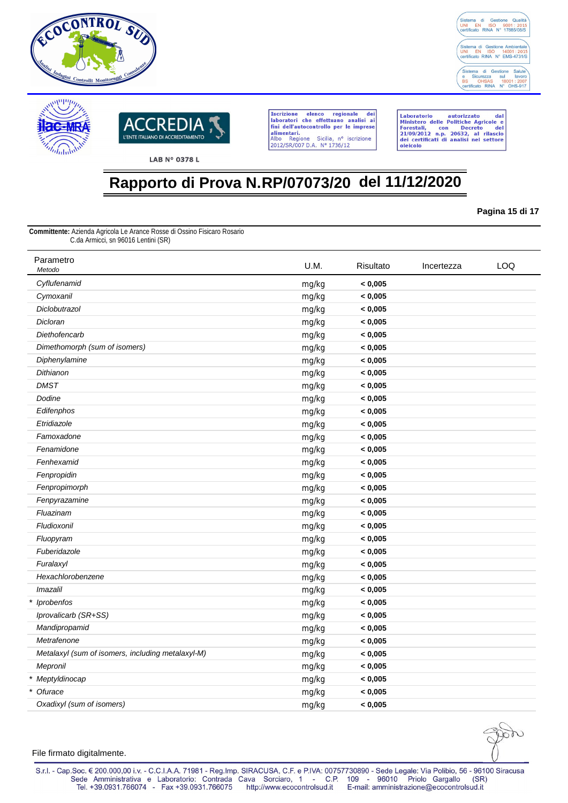





Laboratorio autorizzato dal<br>Ministero delle Politiche Agricole e<br>Forestali, con Decreto del<br>21/09/2012 n.p. 20632, al rilascio<br>dei certificati di analisi nel settore oleicolo

# **Rapporto di Prova N.RP/07073/20 del 11/12/2020**

**Pagina 15 di 17**

**Committente:** Azienda Agricola Le Arance Rosse di Ossino Fisicaro Rosario C.da Armicci, sn 96016 Lentini (SR)

| Parametro<br>Metodo                               | U.M.  | Risultato | Incertezza | LOQ |
|---------------------------------------------------|-------|-----------|------------|-----|
| Cyflufenamid                                      | mg/kg | < 0,005   |            |     |
| Cymoxanil                                         | mg/kg | < 0,005   |            |     |
| Diclobutrazol                                     | mg/kg | < 0,005   |            |     |
| Dicloran                                          | mg/kg | < 0,005   |            |     |
| Diethofencarb                                     | mg/kg | < 0,005   |            |     |
| Dimethomorph (sum of isomers)                     | mg/kg | < 0,005   |            |     |
| Diphenylamine                                     | mg/kg | < 0,005   |            |     |
| Dithianon                                         | mg/kg | < 0,005   |            |     |
| <b>DMST</b>                                       | mg/kg | < 0,005   |            |     |
| Dodine                                            | mg/kg | < 0,005   |            |     |
| Edifenphos                                        | mg/kg | < 0,005   |            |     |
| Etridiazole                                       | mg/kg | < 0,005   |            |     |
| Famoxadone                                        | mg/kg | < 0,005   |            |     |
| Fenamidone                                        | mg/kg | < 0,005   |            |     |
| Fenhexamid                                        | mg/kg | < 0,005   |            |     |
| Fenpropidin                                       | mg/kg | < 0,005   |            |     |
| Fenpropimorph                                     | mg/kg | < 0,005   |            |     |
| Fenpyrazamine                                     | mg/kg | < 0,005   |            |     |
| Fluazinam                                         | mg/kg | < 0,005   |            |     |
| Fludioxonil                                       | mg/kg | < 0,005   |            |     |
| Fluopyram                                         | mg/kg | < 0,005   |            |     |
| Fuberidazole                                      | mg/kg | < 0,005   |            |     |
| Furalaxyl                                         | mg/kg | < 0,005   |            |     |
| Hexachlorobenzene                                 | mg/kg | < 0,005   |            |     |
| Imazalil                                          | mg/kg | < 0,005   |            |     |
| * Iprobenfos                                      | mg/kg | < 0,005   |            |     |
| Iprovalicarb (SR+SS)                              | mg/kg | < 0,005   |            |     |
| Mandipropamid                                     | mg/kg | < 0,005   |            |     |
| Metrafenone                                       | mg/kg | < 0,005   |            |     |
| Metalaxyl (sum of isomers, including metalaxyl-M) | mg/kg | < 0,005   |            |     |
| Mepronil                                          | mg/kg | < 0,005   |            |     |
| * Meptyldinocap                                   | mg/kg | < 0,005   |            |     |
| * Ofurace                                         | mg/kg | < 0,005   |            |     |
| Oxadixyl (sum of isomers)                         | mg/kg | < 0,005   |            |     |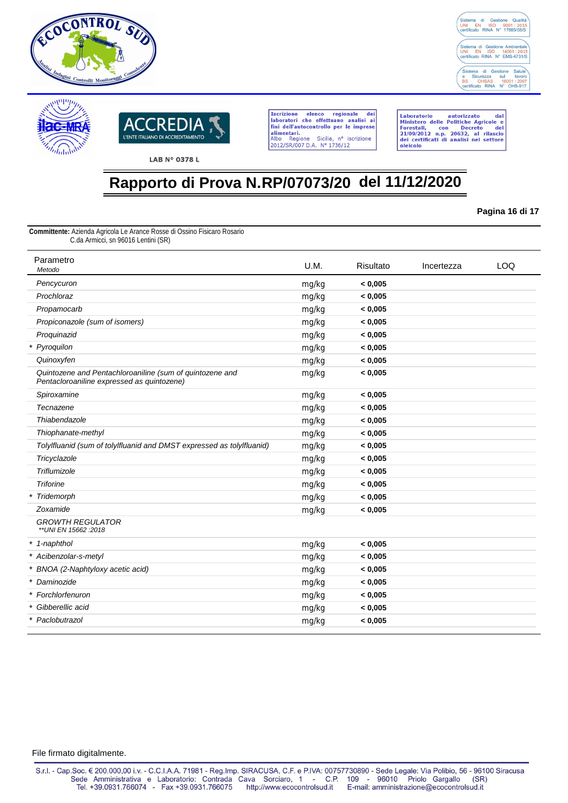





Laboratorio autorizzato dal<br>Ministero delle Politiche Agricole e<br>Forestali, con Decreto del<br>21/09/2012 n.p. 20632, al rilascio<br>dei certificati di analisi nel settore oleicolo

# **Rapporto di Prova N.RP/07073/20 del 11/12/2020**

**Pagina 16 di 17**

**Committente:** Azienda Agricola Le Arance Rosse di Ossino Fisicaro Rosario C.da Armicci, sn 96016 Lentini (SR)

| Parametro<br>Metodo                                                                                    | U.M.  | Risultato | Incertezza | <b>LOQ</b> |
|--------------------------------------------------------------------------------------------------------|-------|-----------|------------|------------|
| Pencycuron                                                                                             | mg/kg | < 0,005   |            |            |
| Prochloraz                                                                                             | mg/kg | < 0.005   |            |            |
| Propamocarb                                                                                            | mg/kg | < 0,005   |            |            |
| Propiconazole (sum of isomers)                                                                         | mg/kg | < 0.005   |            |            |
| Proquinazid                                                                                            | mg/kg | < 0,005   |            |            |
| * Pyroquilon                                                                                           | mg/kg | < 0.005   |            |            |
| Quinoxyfen                                                                                             | mg/kg | < 0,005   |            |            |
| Quintozene and Pentachloroaniline (sum of quintozene and<br>Pentacloroaniline expressed as quintozene) | mg/kg | < 0.005   |            |            |
| Spiroxamine                                                                                            | mg/kg | < 0,005   |            |            |
| Tecnazene                                                                                              | mg/kg | < 0,005   |            |            |
| Thiabendazole                                                                                          | mg/kg | < 0,005   |            |            |
| Thiophanate-methyl                                                                                     | mg/kg | < 0,005   |            |            |
| Tolylfluanid (sum of tolylfluanid and DMST expressed as tolylfluanid)                                  | mg/kg | < 0,005   |            |            |
| Tricyclazole                                                                                           | mg/kg | < 0,005   |            |            |
| Triflumizole                                                                                           | mg/kg | < 0,005   |            |            |
| <b>Triforine</b>                                                                                       | mg/kg | < 0,005   |            |            |
| * Tridemorph                                                                                           | mg/kg | < 0,005   |            |            |
| Zoxamide                                                                                               | mg/kg | < 0,005   |            |            |
| <b>GROWTH REGULATOR</b><br>** UNI EN 15662 : 2018                                                      |       |           |            |            |
| * 1-naphthol                                                                                           | mg/kg | < 0,005   |            |            |
| * Acibenzolar-s-metyl                                                                                  | mg/kg | < 0,005   |            |            |
| * BNOA (2-Naphtyloxy acetic acid)                                                                      | mg/kg | < 0,005   |            |            |
| * Daminozide                                                                                           | mg/kg | < 0,005   |            |            |
| * Forchlorfenuron                                                                                      | mg/kg | < 0,005   |            |            |
| Gibberellic acid<br>$\ast$                                                                             | mg/kg | < 0,005   |            |            |
| * Paclobutrazol                                                                                        | mg/kg | < 0,005   |            |            |
|                                                                                                        |       |           |            |            |